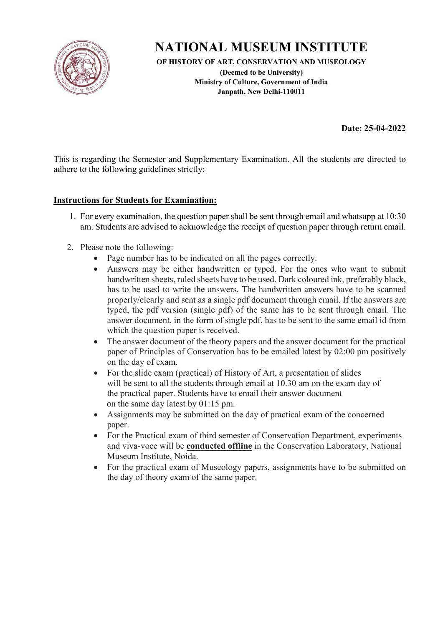

**OF HISTORY OF ART, CONSERVATION AND MUSEOLOGY** 

**(Deemed to be University) Ministry of Culture, Government of India Janpath, New Delhi-110011** 

**Date: 25-04-2022** 

This is regarding the Semester and Supplementary Examination. All the students are directed to adhere to the following guidelines strictly:

#### **Instructions for Students for Examination:**

- 1. For every examination, the question paper shall be sent through email and whatsapp at 10:30 am. Students are advised to acknowledge the receipt of question paper through return email.
- 2. Please note the following:
	- Page number has to be indicated on all the pages correctly.
	- Answers may be either handwritten or typed. For the ones who want to submit handwritten sheets, ruled sheets have to be used. Dark coloured ink, preferably black, has to be used to write the answers. The handwritten answers have to be scanned properly/clearly and sent as a single pdf document through email. If the answers are typed, the pdf version (single pdf) of the same has to be sent through email. The answer document, in the form of single pdf, has to be sent to the same email id from which the question paper is received.
	- The answer document of the theory papers and the answer document for the practical paper of Principles of Conservation has to be emailed latest by 02:00 pm positively on the day of exam.
	- For the slide exam (practical) of History of Art, a presentation of slides will be sent to all the students through email at 10.30 am on the exam day of the practical paper. Students have to email their answer document on the same day latest by 01:15 pm.
	- Assignments may be submitted on the day of practical exam of the concerned paper.
	- For the Practical exam of third semester of Conservation Department, experiments and viva-voce will be **conducted offline** in the Conservation Laboratory, National Museum Institute, Noida.
	- For the practical exam of Museology papers, assignments have to be submitted on the day of theory exam of the same paper.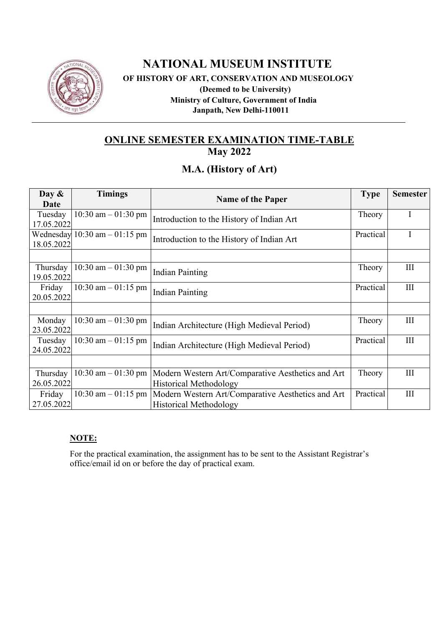

## **NATIONAL MUSEUM INSTITUTE OF HISTORY OF ART, CONSERVATION AND MUSEOLOGY (Deemed to be University) Ministry of Culture, Government of India Janpath, New Delhi-110011**

# **ONLINE SEMESTER EXAMINATION TIME-TABLE**

**May 2022** 

## **M.A. (History of Art)**

| Day $\&$<br>Date       | <b>Timings</b>                   | <b>Name of the Paper</b>                                                           | <b>Type</b> | <b>Semester</b> |
|------------------------|----------------------------------|------------------------------------------------------------------------------------|-------------|-----------------|
| Tuesday<br>17.05.2022  | 10:30 am $-$ 01:30 pm            | Introduction to the History of Indian Art                                          |             |                 |
| 18.05.2022             | Wednesday $10:30$ am $-01:15$ pm | Practical<br>Introduction to the History of Indian Art                             |             | Ι               |
|                        |                                  |                                                                                    |             |                 |
| Thursday<br>19.05.2022 | 10:30 am $-$ 01:30 pm            | <b>Indian Painting</b>                                                             | Theory      | III             |
| Friday<br>20.05.2022   | 10:30 am $-$ 01:15 pm            | <b>Indian Painting</b>                                                             | Practical   | III             |
|                        |                                  |                                                                                    |             |                 |
| Monday<br>23.05.2022   | 10:30 am $-$ 01:30 pm            | Indian Architecture (High Medieval Period)                                         | Theory      | III             |
| Tuesday<br>24.05.2022  | 10:30 am $-$ 01:15 pm            | Indian Architecture (High Medieval Period)                                         | Practical   | III             |
|                        |                                  |                                                                                    |             |                 |
| Thursday<br>26.05.2022 | 10:30 am $-$ 01:30 pm            | Modern Western Art/Comparative Aesthetics and Art<br><b>Historical Methodology</b> | Theory      | III             |
| Friday<br>27.05.2022   | $10:30$ am $-01:15$ pm           | Modern Western Art/Comparative Aesthetics and Art<br><b>Historical Methodology</b> | Practical   | III             |

#### **NOTE:**

For the practical examination, the assignment has to be sent to the Assistant Registrar's office/email id on or before the day of practical exam.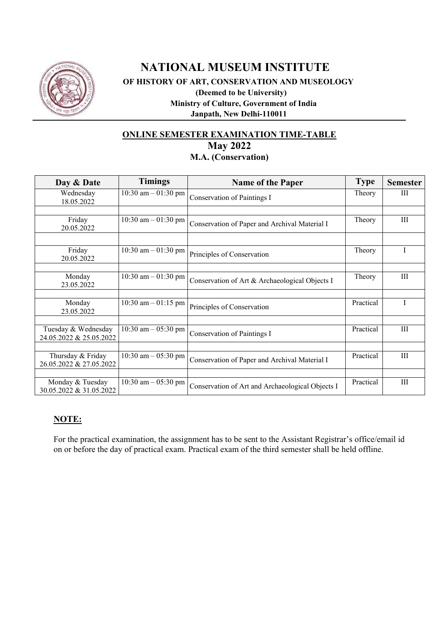

## **NATIONAL MUSEUM INSTITUTE OF HISTORY OF ART, CONSERVATION AND MUSEOLOGY (Deemed to be University) Ministry of Culture, Government of India Janpath, New Delhi-110011**

#### **ONLINE SEMESTER EXAMINATION TIME-TABLE May 2022 M.A. (Conservation)**

| Day & Date                                     | <b>Timings</b>        | <b>Name of the Paper</b>                         | <b>Type</b> | <b>Semester</b> |
|------------------------------------------------|-----------------------|--------------------------------------------------|-------------|-----------------|
| Wednesday<br>18.05.2022                        | 10:30 am $-$ 01:30 pm | Conservation of Paintings I                      | Theory      | Ш               |
| Friday<br>20.05.2022                           | 10:30 am $-$ 01:30 pm | Conservation of Paper and Archival Material I    | Theory      | Ш               |
| Friday<br>20.05.2022                           | 10:30 am $-$ 01:30 pm | Principles of Conservation                       | Theory      |                 |
| Monday<br>23.05.2022                           | 10:30 am $-$ 01:30 pm | Conservation of Art & Archaeological Objects I   | Theory      | Ш               |
| Monday<br>23.05.2022                           | 10:30 am $-$ 01:15 pm | Principles of Conservation                       | Practical   | Ι               |
| Tuesday & Wednesday<br>24.05.2022 & 25.05.2022 | 10:30 am $-$ 05:30 pm | Conservation of Paintings I                      | Practical   | Ш               |
| Thursday & Friday<br>26.05.2022 & 27.05.2022   | 10:30 am $-$ 05:30 pm | Conservation of Paper and Archival Material I    | Practical   | Ш               |
| Monday & Tuesday<br>30.05.2022 & 31.05.2022    | 10:30 am $-$ 05:30 pm | Conservation of Art and Archaeological Objects I | Practical   | III             |

#### **NOTE:**

For the practical examination, the assignment has to be sent to the Assistant Registrar's office/email id on or before the day of practical exam. Practical exam of the third semester shall be held offline.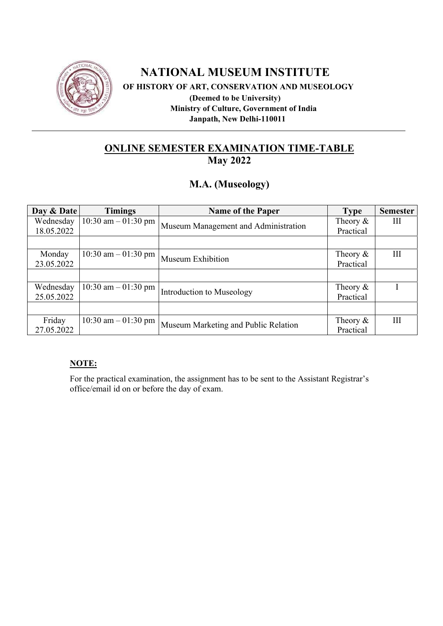

 **OF HISTORY OF ART, CONSERVATION AND MUSEOLOGY** 

 **(Deemed to be University) Ministry of Culture, Government of India Janpath, New Delhi-110011** 

## **ONLINE SEMESTER EXAMINATION TIME-TABLE May 2022**

## **M.A. (Museology)**

| Day & Date | <b>Timings</b>         | <b>Name of the Paper</b>             | <b>Type</b> | <b>Semester</b> |
|------------|------------------------|--------------------------------------|-------------|-----------------|
| Wednesday  | $10:30$ am $-01:30$ pm |                                      | Theory $\&$ | Ш               |
| 18.05.2022 |                        | Museum Management and Administration | Practical   |                 |
|            |                        |                                      |             |                 |
| Monday     | 10:30 am $-$ 01:30 pm  | Museum Exhibition                    | Theory $\&$ | Ш               |
| 23.05.2022 |                        |                                      | Practical   |                 |
|            |                        |                                      |             |                 |
| Wednesday  | $10:30$ am $-01:30$ pm |                                      | Theory $\&$ |                 |
| 25.05.2022 |                        | Introduction to Museology            | Practical   |                 |
|            |                        |                                      |             |                 |
| Friday     | $10:30$ am $-01:30$ pm |                                      | Theory $\&$ | Ш               |
| 27.05.2022 |                        | Museum Marketing and Public Relation | Practical   |                 |

#### **NOTE:**

For the practical examination, the assignment has to be sent to the Assistant Registrar's office/email id on or before the day of exam.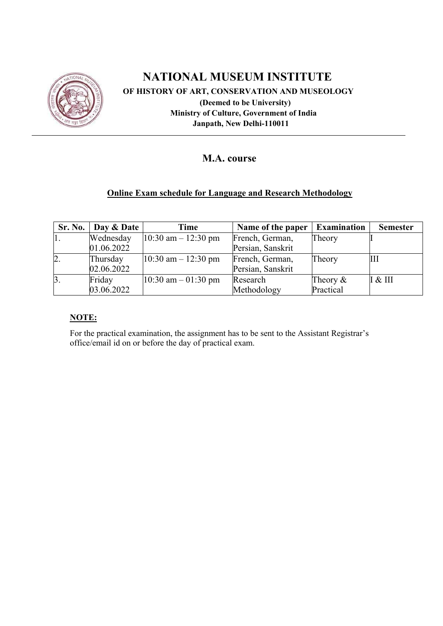

 **OF HISTORY OF ART, CONSERVATION AND MUSEOLOGY (Deemed to be University) Ministry of Culture, Government of India Janpath, New Delhi-110011** 

## **M.A. course**

### **Online Exam schedule for Language and Research Methodology**

| Sr. No. | Day & Date | Time                    | Name of the paper | <b>Examination</b> | <b>Semester</b> |
|---------|------------|-------------------------|-------------------|--------------------|-----------------|
| 1.      | Wednesday  | $10:30$ am $- 12:30$ pm | French, German,   | Theory             |                 |
|         | 01.06.2022 |                         | Persian, Sanskrit |                    |                 |
| 2.      | Thursday   | $10:30$ am $- 12:30$ pm | French, German,   | Theory             | Ш               |
|         | 02.06.2022 |                         | Persian, Sanskrit |                    |                 |
| 3.      | Friday     | $10:30$ am $-01:30$ pm  | Research          | Theory $\&$        | I & H           |
|         | 03.06.2022 |                         | Methodology       | Practical          |                 |

#### **NOTE:**

For the practical examination, the assignment has to be sent to the Assistant Registrar's office/email id on or before the day of practical exam.